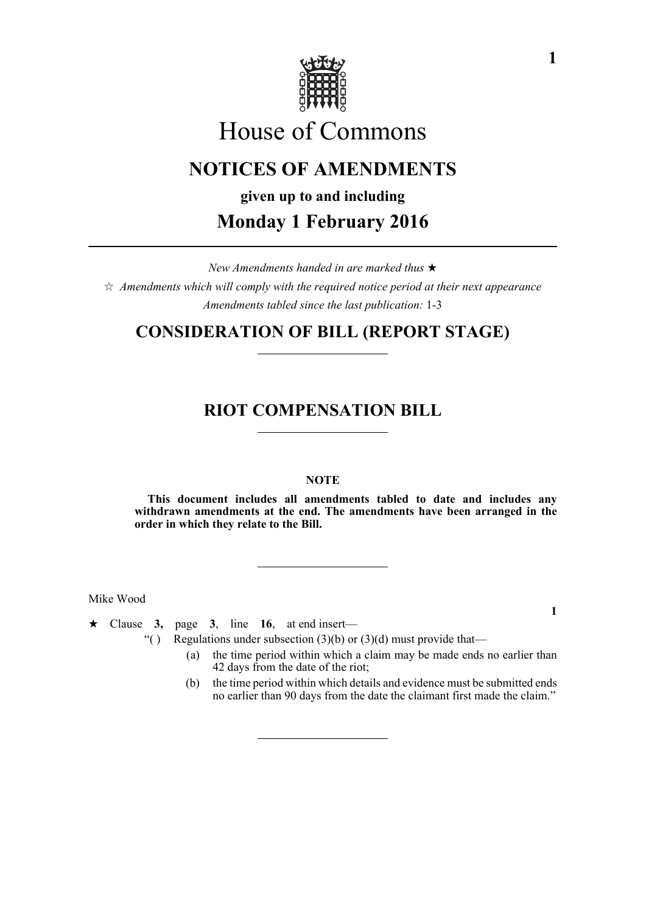

# House of Commons

## **NOTICES OF AMENDMENTS**

**given up to and including Monday 1 February 2016**

*New Amendments handed in are marked thus*   $\hat{\varphi}$  Amendments which will comply with the required notice period at their next appearance *Amendments tabled since the last publication:* 1-3

### **CONSIDERATION OF BILL (REPORT STAGE)**

### **RIOT COMPENSATION BILL**

### **NOTE**

**This document includes all amendments tabled to date and includes any withdrawn amendments at the end. The amendments have been arranged in the order in which they relate to the Bill.**

Mike Wood

 $\star$  Clause 3, page 3, line 16, at end insert—

- "( ) Regulations under subsection  $(3)(b)$  or  $(3)(d)$  must provide that—
	- (a) the time period within which a claim may be made ends no earlier than 42 days from the date of the riot;
	- (b) the time period within which details and evidence must be submitted ends no earlier than 90 days from the date the claimant first made the claim."

**1**

**1**